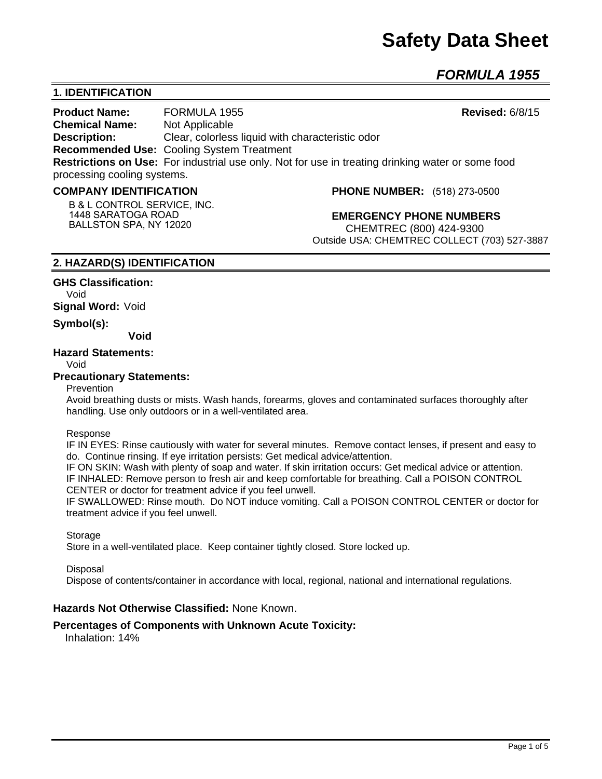# **Safety Data Sheet**

*FORMULA 1955* 

# **1. IDENTIFICATION**

**Product Name:** FORMULA 1955 **Revised:** 6/8/15 **Chemical Name:** Not Applicable **Description:** Clear, colorless liquid with characteristic odor **Recommended Use:** Cooling System Treatment **Restrictions on Use:** For industrial use only. Not for use in treating drinking water or some food processing cooling systems.

#### **COMPANY IDENTIFICATION**

**B & L CONTROL SERVICE, INC. 1448 SARATOGA ROAD BALLSTON SPA, NY 12020**

**PHONE NUMBER:** (518) 273-0500

**EMERGENCY PHONE NUMBERS** CHEMTREC (800) 424-9300 Outside USA: CHEMTREC COLLECT (703) 527-3887

## **2. HAZARD(S) IDENTIFICATION**

**GHS Classification:** Void **Signal Word:** Void

**Symbol(s):** 

**Void** 

## **Hazard Statements:**

Void

#### **Precautionary Statements:**

Prevention

Avoid breathing dusts or mists. Wash hands, forearms, gloves and contaminated surfaces thoroughly after handling. Use only outdoors or in a well-ventilated area.

#### Response

IF IN EYES: Rinse cautiously with water for several minutes. Remove contact lenses, if present and easy to do. Continue rinsing. If eye irritation persists: Get medical advice/attention.

IF ON SKIN: Wash with plenty of soap and water. If skin irritation occurs: Get medical advice or attention. IF INHALED: Remove person to fresh air and keep comfortable for breathing. Call a POISON CONTROL CENTER or doctor for treatment advice if you feel unwell.

IF SWALLOWED: Rinse mouth. Do NOT induce vomiting. Call a POISON CONTROL CENTER or doctor for treatment advice if you feel unwell.

#### **Storage**

Store in a well-ventilated place. Keep container tightly closed. Store locked up.

#### **Disposal**

Dispose of contents/container in accordance with local, regional, national and international regulations.

## **Hazards Not Otherwise Classified:** None Known.

## **Percentages of Components with Unknown Acute Toxicity:**

Inhalation: 14%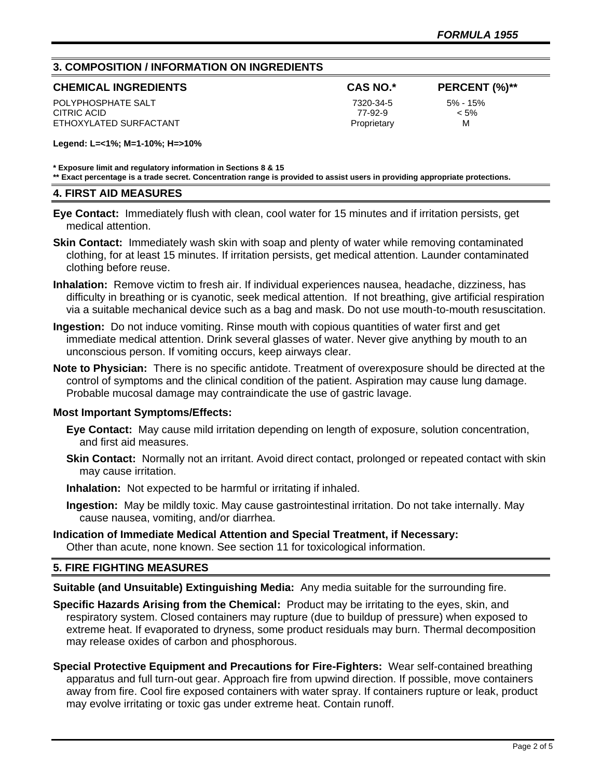# **3. COMPOSITION / INFORMATION ON INGREDIENTS**

| <b>CHEMICAL INGREDIENTS</b> |  |
|-----------------------------|--|
|-----------------------------|--|

POLYPHOSPHATE SALT 7320-34-5 5% - 15% CITRIC ACID 77-92-9 < 5% ETHOXYLATED SURFACTANT **EXAMPLE 2018** Proprietary M

**CHEMICAL INGREDIENTS CAS NO.\* PERCENT (%)\*\***

**Legend: L=<1%; M=1-10%; H=>10%**

**\* Exposure limit and regulatory information in Sections 8 & 15**

**\*\* Exact percentage is a trade secret. Concentration range is provided to assist users in providing appropriate protections.**

## **4. FIRST AID MEASURES**

**Eye Contact:** Immediately flush with clean, cool water for 15 minutes and if irritation persists, get medical attention.

**Skin Contact:** Immediately wash skin with soap and plenty of water while removing contaminated clothing, for at least 15 minutes. If irritation persists, get medical attention. Launder contaminated clothing before reuse.

- **Inhalation:** Remove victim to fresh air. If individual experiences nausea, headache, dizziness, has difficulty in breathing or is cyanotic, seek medical attention. If not breathing, give artificial respiration via a suitable mechanical device such as a bag and mask. Do not use mouth-to-mouth resuscitation.
- **Ingestion:** Do not induce vomiting. Rinse mouth with copious quantities of water first and get immediate medical attention. Drink several glasses of water. Never give anything by mouth to an unconscious person. If vomiting occurs, keep airways clear.
- **Note to Physician:** There is no specific antidote. Treatment of overexposure should be directed at the control of symptoms and the clinical condition of the patient. Aspiration may cause lung damage. Probable mucosal damage may contraindicate the use of gastric lavage.

## **Most Important Symptoms/Effects:**

- **Eye Contact:** May cause mild irritation depending on length of exposure, solution concentration, and first aid measures.
- **Skin Contact:** Normally not an irritant. Avoid direct contact, prolonged or repeated contact with skin may cause irritation.
- **Inhalation:** Not expected to be harmful or irritating if inhaled.
- **Ingestion:** May be mildly toxic. May cause gastrointestinal irritation. Do not take internally. May cause nausea, vomiting, and/or diarrhea.

#### **Indication of Immediate Medical Attention and Special Treatment, if Necessary:** Other than acute, none known. See section 11 for toxicological information.

## **5. FIRE FIGHTING MEASURES**

**Suitable (and Unsuitable) Extinguishing Media:** Any media suitable for the surrounding fire.

- **Specific Hazards Arising from the Chemical:** Product may be irritating to the eyes, skin, and respiratory system. Closed containers may rupture (due to buildup of pressure) when exposed to extreme heat. If evaporated to dryness, some product residuals may burn. Thermal decomposition may release oxides of carbon and phosphorous.
- **Special Protective Equipment and Precautions for Fire-Fighters:** Wear self-contained breathing apparatus and full turn-out gear. Approach fire from upwind direction. If possible, move containers away from fire. Cool fire exposed containers with water spray. If containers rupture or leak, product may evolve irritating or toxic gas under extreme heat. Contain runoff.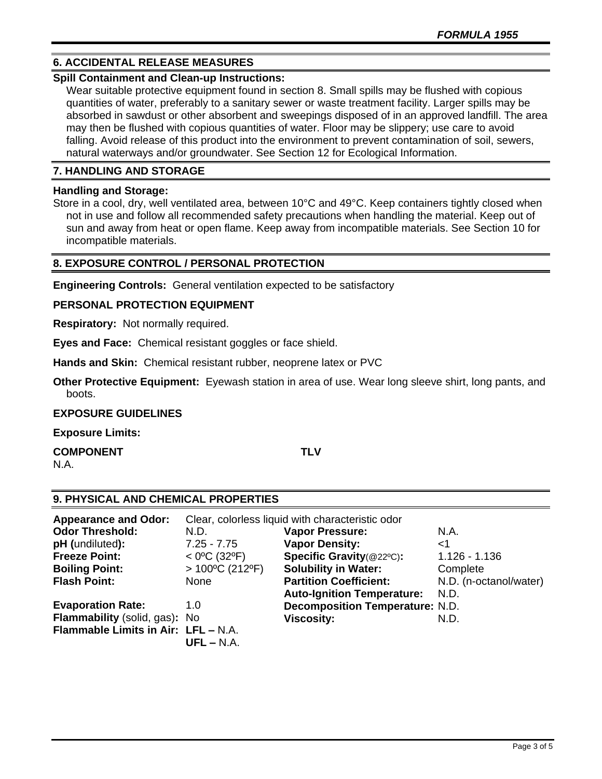# **6. ACCIDENTAL RELEASE MEASURES**

## **Spill Containment and Clean-up Instructions:**

Wear suitable protective equipment found in section 8. Small spills may be flushed with copious quantities of water, preferably to a sanitary sewer or waste treatment facility. Larger spills may be absorbed in sawdust or other absorbent and sweepings disposed of in an approved landfill. The area may then be flushed with copious quantities of water. Floor may be slippery; use care to avoid falling. Avoid release of this product into the environment to prevent contamination of soil, sewers, natural waterways and/or groundwater. See Section 12 for Ecological Information.

# **7. HANDLING AND STORAGE**

## **Handling and Storage:**

Store in a cool, dry, well ventilated area, between 10°C and 49°C. Keep containers tightly closed when not in use and follow all recommended safety precautions when handling the material. Keep out of sun and away from heat or open flame. Keep away from incompatible materials. See Section 10 for incompatible materials.

# **8. EXPOSURE CONTROL / PERSONAL PROTECTION**

**Engineering Controls:** General ventilation expected to be satisfactory

# **PERSONAL PROTECTION EQUIPMENT**

**Respiratory:** Not normally required.

**Eyes and Face:** Chemical resistant goggles or face shield.

**Hands and Skin:** Chemical resistant rubber, neoprene latex or PVC

**Other Protective Equipment:** Eyewash station in area of use. Wear long sleeve shirt, long pants, and boots.

## **EXPOSURE GUIDELINES**

**Exposure Limits:** 

**COMPONENT TLV** N.A.

# **9. PHYSICAL AND CHEMICAL PROPERTIES**

| <b>Appearance and Odor:</b>         | Clear, colorless liquid with characteristic odor |                                        |                        |
|-------------------------------------|--------------------------------------------------|----------------------------------------|------------------------|
| <b>Odor Threshold:</b>              | N.D.                                             | <b>Vapor Pressure:</b>                 | N.A.                   |
| pH (undiluted):                     | $7.25 - 7.75$                                    | <b>Vapor Density:</b>                  | $<$ 1                  |
| <b>Freeze Point:</b>                | $<$ 0°C (32°F)                                   | Specific Gravity(@22°C):               | $1.126 - 1.136$        |
| <b>Boiling Point:</b>               | $>100^{\circ}$ C (212°F)                         | <b>Solubility in Water:</b>            | Complete               |
| <b>Flash Point:</b>                 | None                                             | <b>Partition Coefficient:</b>          | N.D. (n-octanol/water) |
|                                     |                                                  | <b>Auto-Ignition Temperature:</b>      | N.D.                   |
| <b>Evaporation Rate:</b>            | 1.0                                              | <b>Decomposition Temperature: N.D.</b> |                        |
| Flammability (solid, gas): No       |                                                  | <b>Viscosity:</b>                      | N.D.                   |
| Flammable Limits in Air: LFL - N.A. |                                                  |                                        |                        |
|                                     | $UFL - N.A.$                                     |                                        |                        |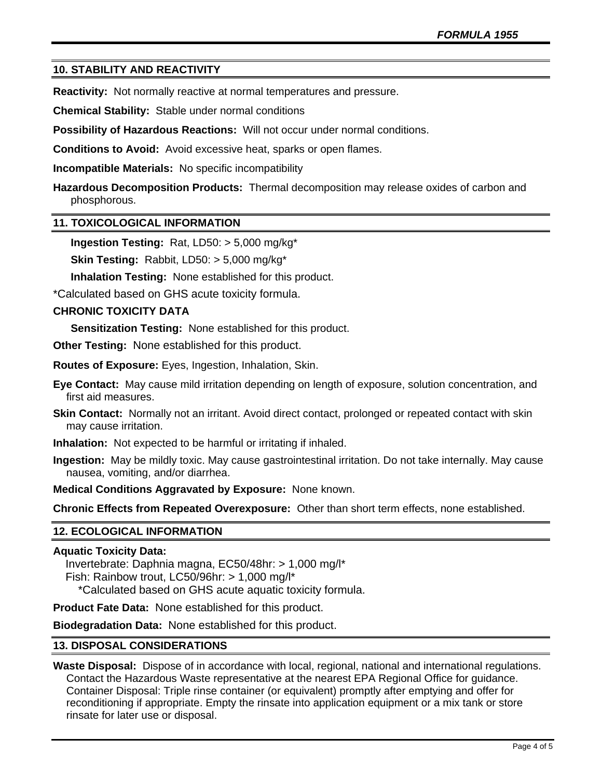# **10. STABILITY AND REACTIVITY**

**Reactivity:** Not normally reactive at normal temperatures and pressure.

**Chemical Stability:** Stable under normal conditions

**Possibility of Hazardous Reactions:** Will not occur under normal conditions.

**Conditions to Avoid:** Avoid excessive heat, sparks or open flames.

**Incompatible Materials:** No specific incompatibility

**Hazardous Decomposition Products:** Thermal decomposition may release oxides of carbon and phosphorous.

## **11. TOXICOLOGICAL INFORMATION**

**Ingestion Testing:** Rat, LD50: > 5,000 mg/kg\*

**Skin Testing:** Rabbit, LD50: > 5,000 mg/kg\*

**Inhalation Testing:** None established for this product.

\*Calculated based on GHS acute toxicity formula.

## **CHRONIC TOXICITY DATA**

**Sensitization Testing:** None established for this product.

**Other Testing:** None established for this product.

**Routes of Exposure:** Eyes, Ingestion, Inhalation, Skin.

- **Eye Contact:** May cause mild irritation depending on length of exposure, solution concentration, and first aid measures.
- **Skin Contact:** Normally not an irritant. Avoid direct contact, prolonged or repeated contact with skin may cause irritation.
- **Inhalation:** Not expected to be harmful or irritating if inhaled.
- **Ingestion:** May be mildly toxic. May cause gastrointestinal irritation. Do not take internally. May cause nausea, vomiting, and/or diarrhea.

**Medical Conditions Aggravated by Exposure:** None known.

**Chronic Effects from Repeated Overexposure:** Other than short term effects, none established.

## **12. ECOLOGICAL INFORMATION**

## **Aquatic Toxicity Data:**

 Invertebrate: Daphnia magna, EC50/48hr: > 1,000 mg/l\* Fish: Rainbow trout, LC50/96hr: > 1,000 mg/l\* \*Calculated based on GHS acute aquatic toxicity formula.

**Product Fate Data:** None established for this product.

**Biodegradation Data:** None established for this product.

## **13. DISPOSAL CONSIDERATIONS**

**Waste Disposal:** Dispose of in accordance with local, regional, national and international regulations. Contact the Hazardous Waste representative at the nearest EPA Regional Office for guidance. Container Disposal: Triple rinse container (or equivalent) promptly after emptying and offer for reconditioning if appropriate. Empty the rinsate into application equipment or a mix tank or store rinsate for later use or disposal.